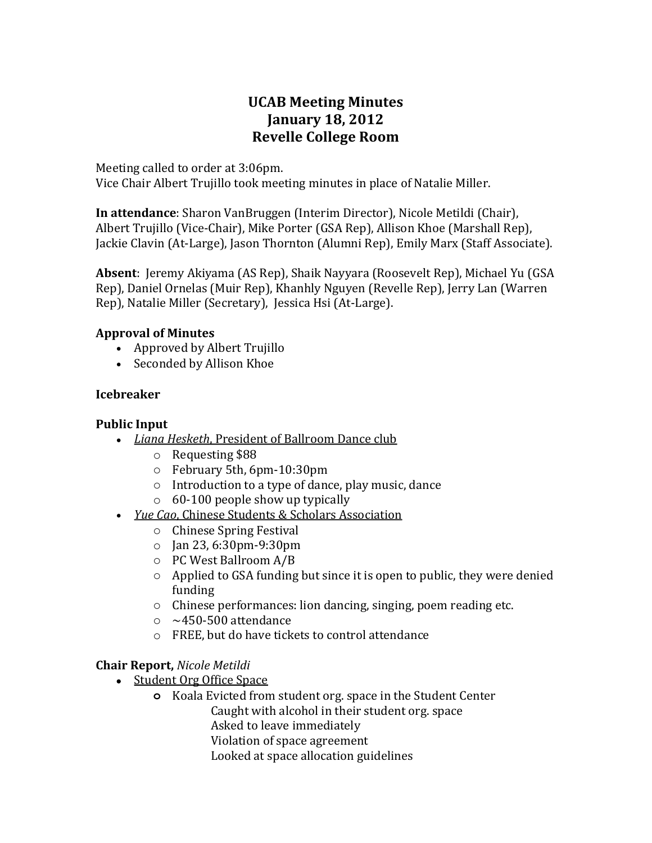# **UCAB Meeting Minutes January 18, 2012 Revelle College Room**

Meeting called to order at 3:06pm.

Vice Chair Albert Trujillo took meeting minutes in place of Natalie Miller.

**In attendance**: Sharon VanBruggen (Interim Director), Nicole Metildi (Chair), Albert Trujillo (Vice-Chair), Mike Porter (GSA Rep), Allison Khoe (Marshall Rep), Jackie Clavin (At-Large), Jason Thornton (Alumni Rep), Emily Marx (Staff Associate).

**Absent**: Jeremy Akiyama (AS Rep), Shaik Nayyara (Roosevelt Rep), Michael Yu (GSA Rep), Daniel Ornelas (Muir Rep), Khanhly Nguyen (Revelle Rep), Jerry Lan (Warren Rep), Natalie Miller (Secretary), Jessica Hsi (At-Large).

### **Approval of Minutes**

- Approved by Albert Trujillo
- Seconded by Allison Khoe

# **Icebreaker**

#### **Public Input**

- *Liana Hesketh*, President of Ballroom Dance club
	- o Requesting \$88
	- o February 5th, 6pm-10:30pm
	- o Introduction to a type of dance, play music, dance
	- $\circ$  60-100 people show up typically
- *Yue Cao*, Chinese Students & Scholars Association
	- o Chinese Spring Festival
	- o Jan 23, 6:30pm-9:30pm
	- o PC West Ballroom A/B
	- o Applied to GSA funding but since it is open to public, they were denied funding
	- o Chinese performances: lion dancing, singing, poem reading etc.
	- $\circ$  ~450-500 attendance
	- o FREE, but do have tickets to control attendance

# **Chair Report,** *Nicole Metildi*

- Student Org Office Space
	- **o** Koala Evicted from student org. space in the Student Center
		- Caught with alcohol in their student org. space
			- Asked to leave immediately
		- Violation of space agreement
		- Looked at space allocation guidelines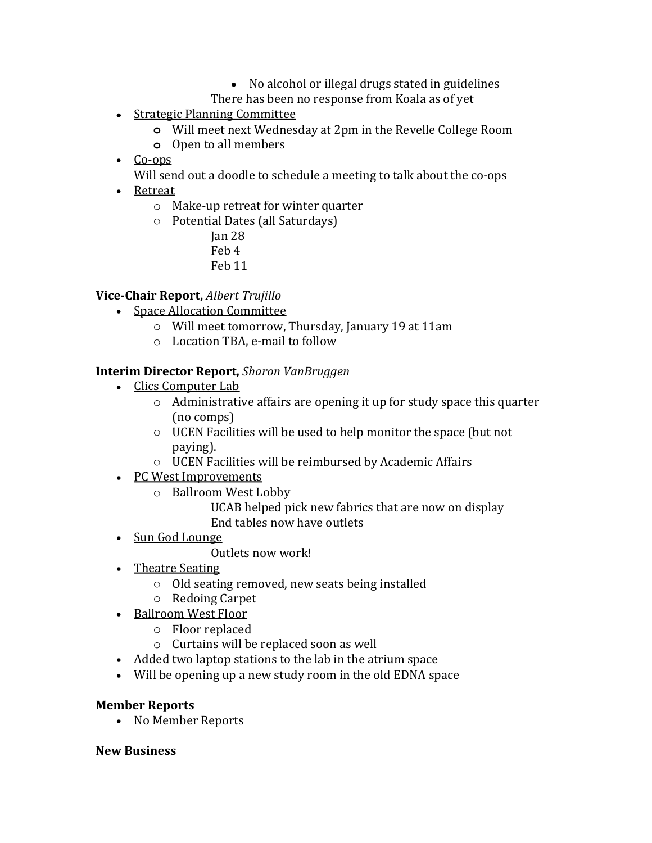- No alcohol or illegal drugs stated in guidelines
- There has been no response from Koala as of yet
- Strategic Planning Committee
	- **o** Will meet next Wednesday at 2pm in the Revelle College Room
	- **o** Open to all members
- Co-ops
	- Will send out a doodle to schedule a meeting to talk about the co-ops
- Retreat
	- o Make-up retreat for winter quarter
	- o Potential Dates (all Saturdays)
		- Jan 28 Feb 4
		- Feb 11

# **Vice-Chair Report,** *Albert Trujillo*

- Space Allocation Committee
	- o Will meet tomorrow, Thursday, January 19 at 11am
	- o Location TBA, e-mail to follow

#### **Interim Director Report,** *Sharon VanBruggen*

- Clics Computer Lab
	- o Administrative affairs are opening it up for study space this quarter (no comps)
	- o UCEN Facilities will be used to help monitor the space (but not paying).
	- o UCEN Facilities will be reimbursed by Academic Affairs
- PC West Improvements
	- o Ballroom West Lobby
		- UCAB helped pick new fabrics that are now on display End tables now have outlets
- Sun God Lounge
	- Outlets now work!
- Theatre Seating
	- o Old seating removed, new seats being installed
	- o Redoing Carpet
- Ballroom West Floor
	- o Floor replaced
	- o Curtains will be replaced soon as well
- Added two laptop stations to the lab in the atrium space
- Will be opening up a new study room in the old EDNA space

#### **Member Reports**

• No Member Reports

#### **New Business**